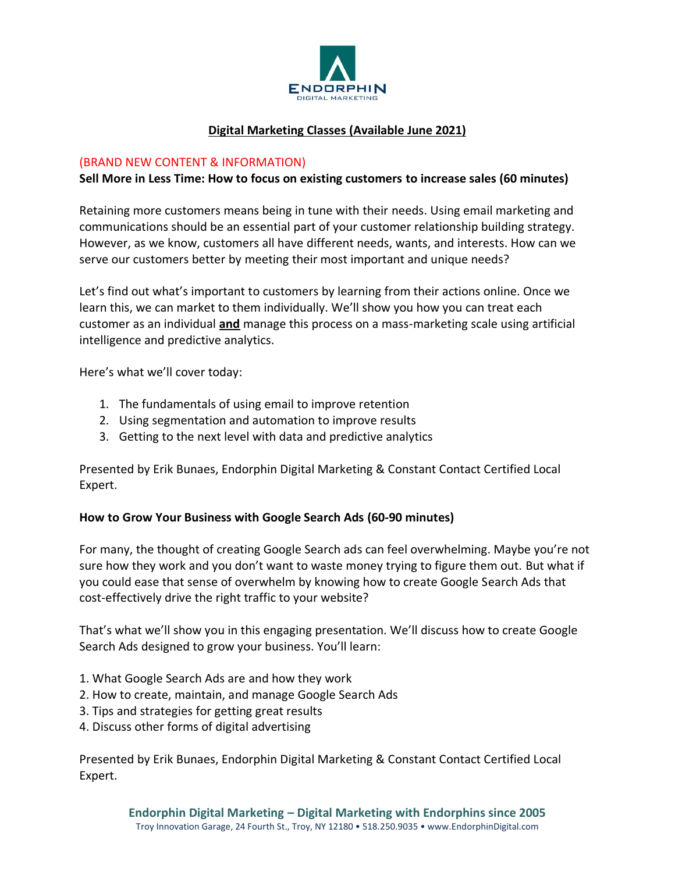

# **Digital Marketing Classes (Available June 2021)**

#### (BRAND NEW CONTENT & INFORMATION)

## **Sell More in Less Time: How to focus on existing customers to increase sales (60 minutes)**

Retaining more customers means being in tune with their needs. Using email marketing and communications should be an essential part of your customer relationship building strategy. However, as we know, customers all have different needs, wants, and interests. How can we serve our customers better by meeting their most important and unique needs?

Let's find out what's important to customers by learning from their actions online. Once we learn this, we can market to them individually. We'll show you how you can treat each customer as an individual **and** manage this process on a mass-marketing scale using artificial intelligence and predictive analytics.

Here's what we'll cover today:

- 1. The fundamentals of using email to improve retention
- 2. Using segmentation and automation to improve results
- 3. Getting to the next level with data and predictive analytics

Presented by Erik Bunaes, Endorphin Digital Marketing & Constant Contact Certified Local Expert.

# **How to Grow Your Business with Google Search Ads (60-90 minutes)**

For many, the thought of creating Google Search ads can feel overwhelming. Maybe you're not sure how they work and you don't want to waste money trying to figure them out. But what if you could ease that sense of overwhelm by knowing how to create Google Search Ads that cost-effectively drive the right traffic to your website?

That's what we'll show you in this engaging presentation. We'll discuss how to create Google Search Ads designed to grow your business. You'll learn:

- 1. What Google Search Ads are and how they work
- 2. How to create, maintain, and manage Google Search Ads
- 3. Tips and strategies for getting great results
- 4. Discuss other forms of digital advertising

Presented by Erik Bunaes, Endorphin Digital Marketing & Constant Contact Certified Local Expert.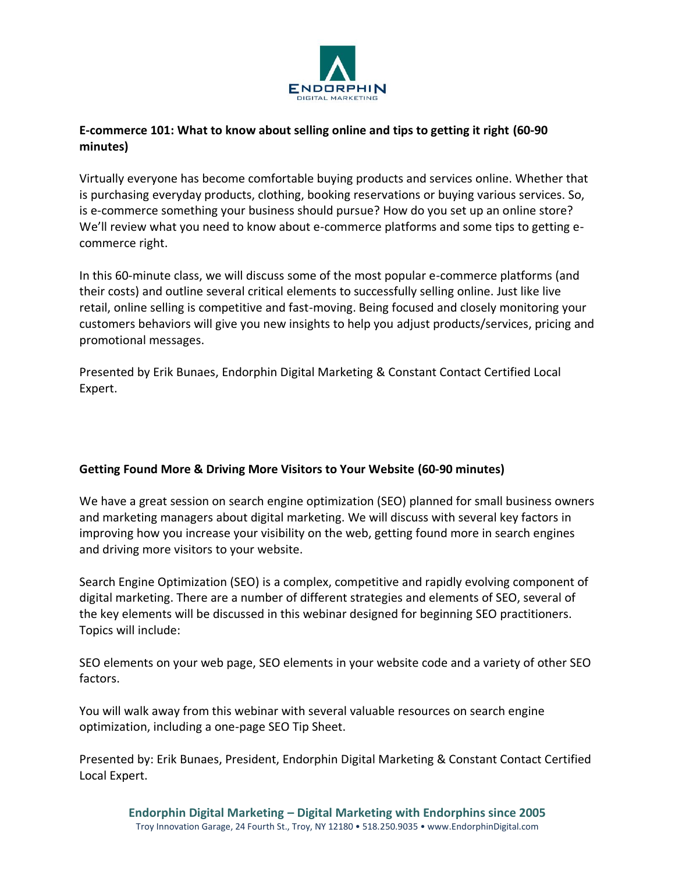

# **E-commerce 101: What to know about selling online and tips to getting it right (60-90 minutes)**

Virtually everyone has become comfortable buying products and services online. Whether that is purchasing everyday products, clothing, booking reservations or buying various services. So, is e-commerce something your business should pursue? How do you set up an online store? We'll review what you need to know about e-commerce platforms and some tips to getting ecommerce right.

In this 60-minute class, we will discuss some of the most popular e-commerce platforms (and their costs) and outline several critical elements to successfully selling online. Just like live retail, online selling is competitive and fast-moving. Being focused and closely monitoring your customers behaviors will give you new insights to help you adjust products/services, pricing and promotional messages.

Presented by Erik Bunaes, Endorphin Digital Marketing & Constant Contact Certified Local Expert.

# **Getting Found More & Driving More Visitors to Your Website (60-90 minutes)**

We have a great session on search engine optimization (SEO) planned for small business owners and marketing managers about digital marketing. We will discuss with several key factors in improving how you increase your visibility on the web, getting found more in search engines and driving more visitors to your website.

Search Engine Optimization (SEO) is a complex, competitive and rapidly evolving component of digital marketing. There are a number of different strategies and elements of SEO, several of the key elements will be discussed in this webinar designed for beginning SEO practitioners. Topics will include:

SEO elements on your web page, SEO elements in your website code and a variety of other SEO factors.

You will walk away from this webinar with several valuable resources on search engine optimization, including a one-page SEO Tip Sheet.

Presented by: Erik Bunaes, President, Endorphin Digital Marketing & Constant Contact Certified Local Expert.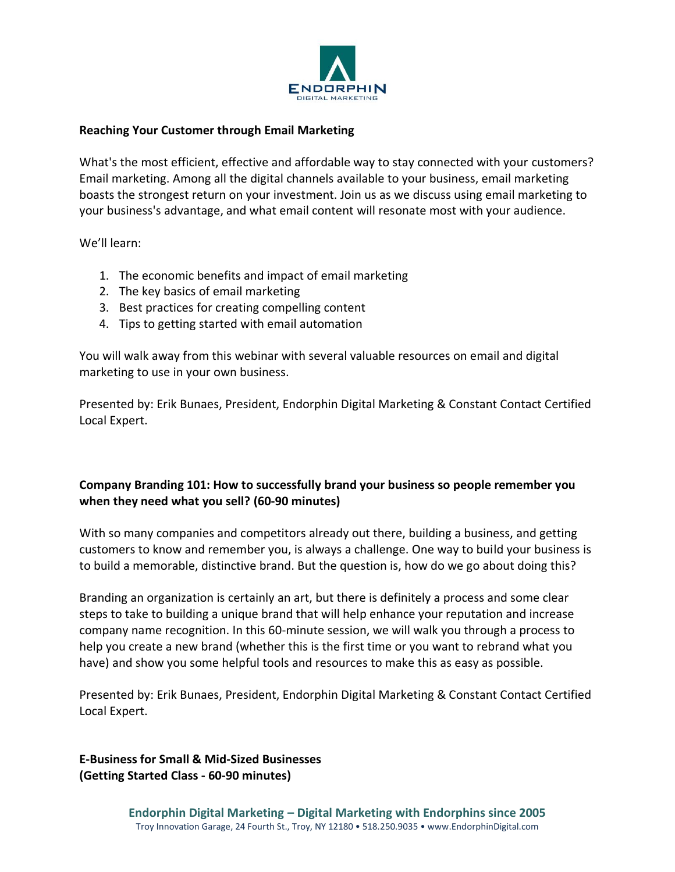

#### **Reaching Your Customer through Email Marketing**

What's the most efficient, effective and affordable way to stay connected with your customers? Email marketing. Among all the digital channels available to your business, email marketing boasts the strongest return on your investment. Join us as we discuss using email marketing to your business's advantage, and what email content will resonate most with your audience.

We'll learn:

- 1. The economic benefits and impact of email marketing
- 2. The key basics of email marketing
- 3. Best practices for creating compelling content
- 4. Tips to getting started with email automation

You will walk away from this webinar with several valuable resources on email and digital marketing to use in your own business.

Presented by: Erik Bunaes, President, Endorphin Digital Marketing & Constant Contact Certified Local Expert.

# **Company Branding 101: How to successfully brand your business so people remember you when they need what you sell? (60-90 minutes)**

With so many companies and competitors already out there, building a business, and getting customers to know and remember you, is always a challenge. One way to build your business is to build a memorable, distinctive brand. But the question is, how do we go about doing this?

Branding an organization is certainly an art, but there is definitely a process and some clear steps to take to building a unique brand that will help enhance your reputation and increase company name recognition. In this 60-minute session, we will walk you through a process to help you create a new brand (whether this is the first time or you want to rebrand what you have) and show you some helpful tools and resources to make this as easy as possible.

Presented by: Erik Bunaes, President, Endorphin Digital Marketing & Constant Contact Certified Local Expert.

**E-Business for Small & Mid-Sized Businesses (Getting Started Class - 60-90 minutes)**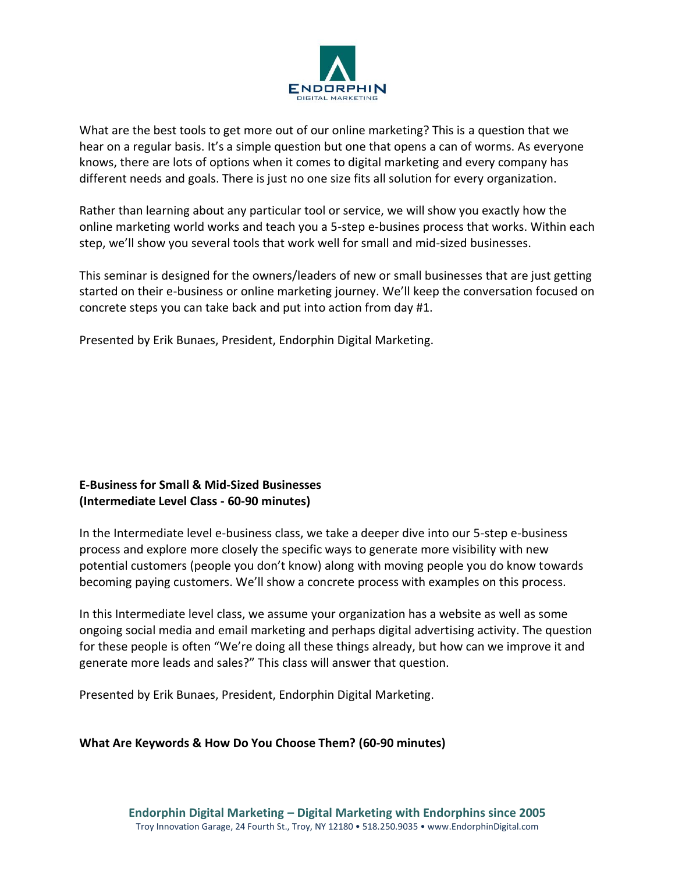

What are the best tools to get more out of our online marketing? This is a question that we hear on a regular basis. It's a simple question but one that opens a can of worms. As everyone knows, there are lots of options when it comes to digital marketing and every company has different needs and goals. There is just no one size fits all solution for every organization.

Rather than learning about any particular tool or service, we will show you exactly how the online marketing world works and teach you a 5-step e-busines process that works. Within each step, we'll show you several tools that work well for small and mid-sized businesses.

This seminar is designed for the owners/leaders of new or small businesses that are just getting started on their e-business or online marketing journey. We'll keep the conversation focused on concrete steps you can take back and put into action from day #1.

Presented by Erik Bunaes, President, Endorphin Digital Marketing.

## **E-Business for Small & Mid-Sized Businesses (Intermediate Level Class - 60-90 minutes)**

In the Intermediate level e-business class, we take a deeper dive into our 5-step e-business process and explore more closely the specific ways to generate more visibility with new potential customers (people you don't know) along with moving people you do know towards becoming paying customers. We'll show a concrete process with examples on this process.

In this Intermediate level class, we assume your organization has a website as well as some ongoing social media and email marketing and perhaps digital advertising activity. The question for these people is often "We're doing all these things already, but how can we improve it and generate more leads and sales?" This class will answer that question.

Presented by Erik Bunaes, President, Endorphin Digital Marketing.

**What Are Keywords & How Do You Choose Them? (60-90 minutes)**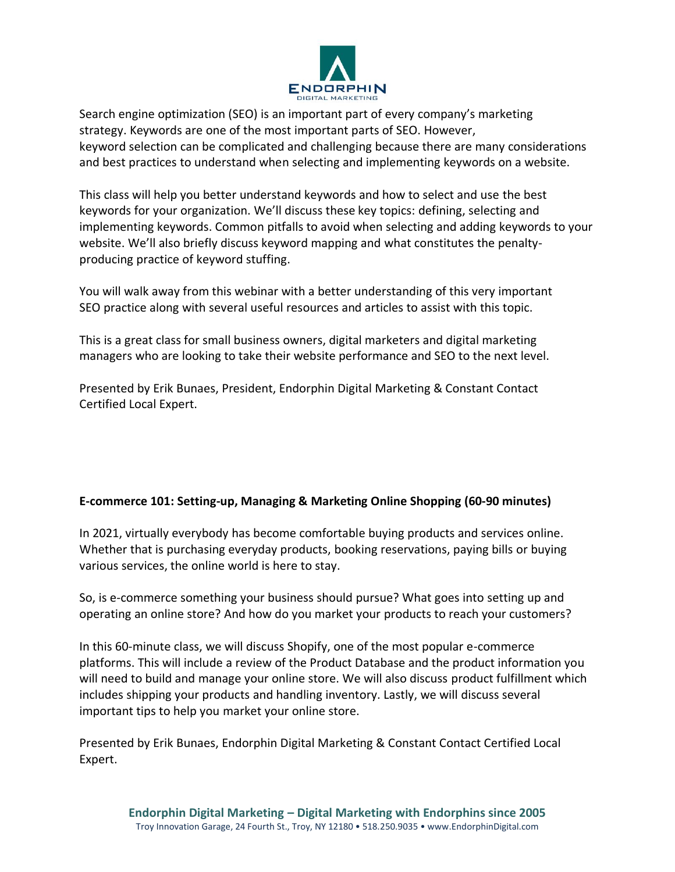

Search engine optimization (SEO) is an important part of every company's marketing strategy. Keywords are one of the most important parts of SEO. However, keyword selection can be complicated and challenging because there are many considerations and best practices to understand when selecting and implementing keywords on a website.

This class will help you better understand keywords and how to select and use the best keywords for your organization. We'll discuss these key topics: defining, selecting and implementing keywords. Common pitfalls to avoid when selecting and adding keywords to your website. We'll also briefly discuss keyword mapping and what constitutes the penaltyproducing practice of keyword stuffing.

You will walk away from this webinar with a better understanding of this very important SEO practice along with several useful resources and articles to assist with this topic.

This is a great class for small business owners, digital marketers and digital marketing managers who are looking to take their website performance and SEO to the next level.

Presented by Erik Bunaes, President, Endorphin Digital Marketing & Constant Contact Certified Local Expert.

# **E-commerce 101: Setting-up, Managing & Marketing Online Shopping (60-90 minutes)**

In 2021, virtually everybody has become comfortable buying products and services online. Whether that is purchasing everyday products, booking reservations, paying bills or buying various services, the online world is here to stay.

So, is e-commerce something your business should pursue? What goes into setting up and operating an online store? And how do you market your products to reach your customers?

In this 60-minute class, we will discuss Shopify, one of the most popular e-commerce platforms. This will include a review of the Product Database and the product information you will need to build and manage your online store. We will also discuss product fulfillment which includes shipping your products and handling inventory. Lastly, we will discuss several important tips to help you market your online store.

Presented by Erik Bunaes, Endorphin Digital Marketing & Constant Contact Certified Local Expert.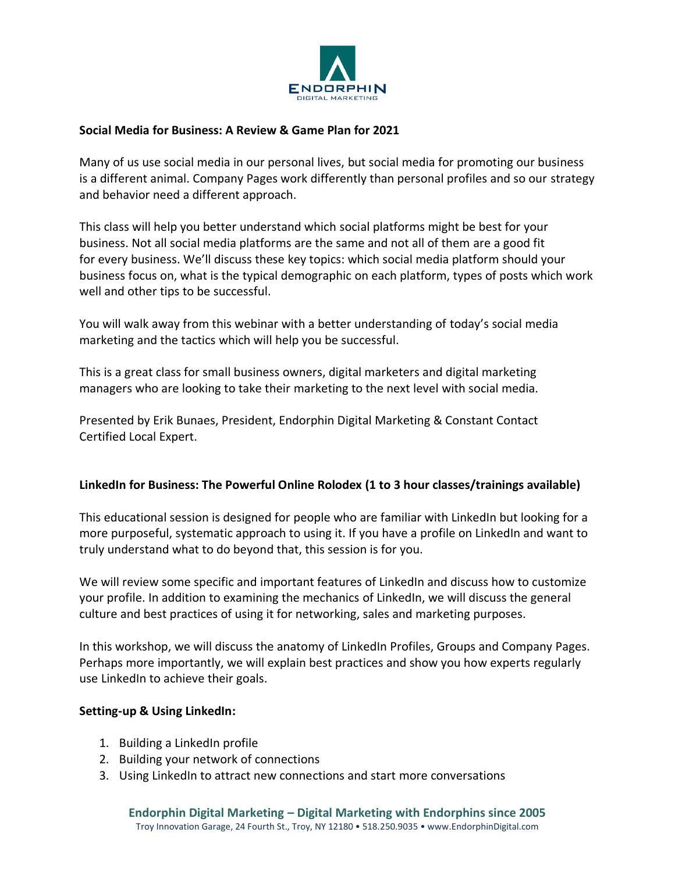

## **Social Media for Business: A Review & Game Plan for 2021**

Many of us use social media in our personal lives, but social media for promoting our business is a different animal. Company Pages work differently than personal profiles and so our strategy and behavior need a different approach.

This class will help you better understand which social platforms might be best for your business. Not all social media platforms are the same and not all of them are a good fit for every business. We'll discuss these key topics: which social media platform should your business focus on, what is the typical demographic on each platform, types of posts which work well and other tips to be successful.

You will walk away from this webinar with a better understanding of today's social media marketing and the tactics which will help you be successful.

This is a great class for small business owners, digital marketers and digital marketing managers who are looking to take their marketing to the next level with social media. 

Presented by Erik Bunaes, President, Endorphin Digital Marketing & Constant Contact Certified Local Expert. 

# **LinkedIn for Business: The Powerful Online Rolodex (1 to 3 hour classes/trainings available)**

This educational session is designed for people who are familiar with LinkedIn but looking for a more purposeful, systematic approach to using it. If you have a profile on LinkedIn and want to truly understand what to do beyond that, this session is for you.

We will review some specific and important features of LinkedIn and discuss how to customize your profile. In addition to examining the mechanics of LinkedIn, we will discuss the general culture and best practices of using it for networking, sales and marketing purposes.

In this workshop, we will discuss the anatomy of LinkedIn Profiles, Groups and Company Pages. Perhaps more importantly, we will explain best practices and show you how experts regularly use LinkedIn to achieve their goals.

#### **Setting-up & Using LinkedIn:**

- 1. Building a LinkedIn profile
- 2. Building your network of connections
- 3. Using LinkedIn to attract new connections and start more conversations